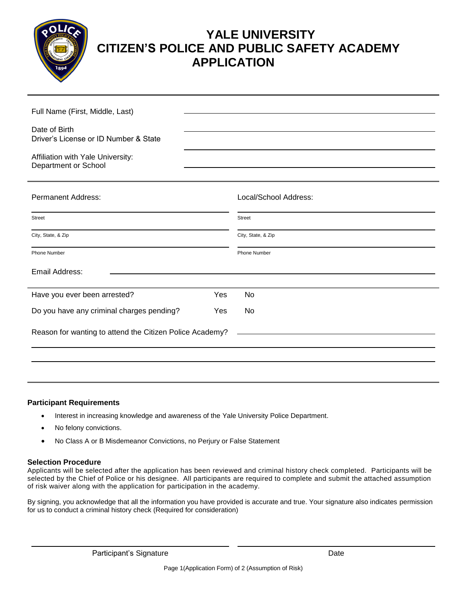

## **YALE UNIVERSITY CITIZEN'S POLICE AND PUBLIC SAFETY ACADEMY APPLICATION**

| Full Name (First, Middle, Last)                           |     |                       |
|-----------------------------------------------------------|-----|-----------------------|
| Date of Birth<br>Driver's License or ID Number & State    |     |                       |
| Affiliation with Yale University:<br>Department or School |     |                       |
| <b>Permanent Address:</b>                                 |     | Local/School Address: |
| Street                                                    |     | <b>Street</b>         |
| City, State, & Zip                                        |     | City, State, & Zip    |
| <b>Phone Number</b>                                       |     | Phone Number          |
| Email Address:                                            |     |                       |
| Have you ever been arrested?                              | Yes | No                    |
| Do you have any criminal charges pending?                 | Yes | No                    |
| Reason for wanting to attend the Citizen Police Academy?  |     |                       |
|                                                           |     |                       |

## **Participant Requirements**

- Interest in increasing knowledge and awareness of the Yale University Police Department.
- No felony convictions.
- No Class A or B Misdemeanor Convictions, no Perjury or False Statement

## **Selection Procedure**

Applicants will be selected after the application has been reviewed and criminal history check completed. Participants will be selected by the Chief of Police or his designee. All participants are required to complete and submit the attached assumption of risk waiver along with the application for participation in the academy.

By signing, you acknowledge that all the information you have provided is accurate and true. Your signature also indicates permission for us to conduct a criminal history check (Required for consideration)